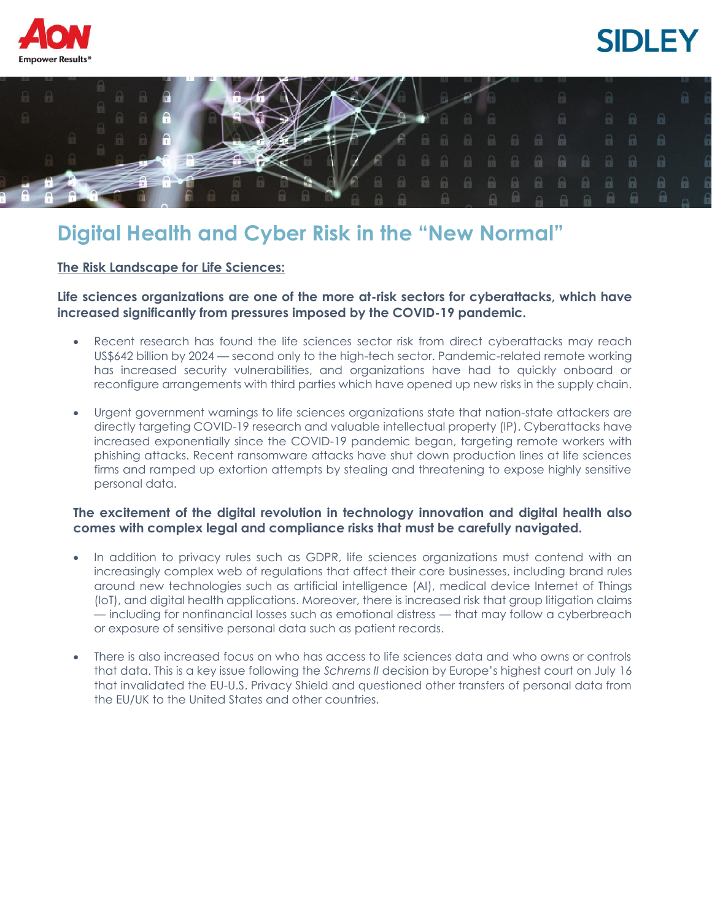





## **Digital Health and Cyber Risk in the "New Normal"**

**The Risk Landscape for Life Sciences:**

**Life sciences organizations are one of the more at-risk sectors for cyberattacks, which have increased significantly from pressures imposed by the COVID-19 pandemic.**

- Recent research has found the life sciences sector risk from direct cyberattacks may reach US\$642 billion by 2024 — second only to the high-tech sector. Pandemic-related remote working has increased security vulnerabilities, and organizations have had to quickly onboard or reconfigure arrangements with third parties which have opened up new risks in the supply chain.
- Urgent government warnings to life sciences organizations state that nation-state attackers are directly targeting COVID-19 research and valuable intellectual property (IP). Cyberattacks have increased exponentially since the COVID-19 pandemic began, targeting remote workers with phishing attacks. Recent ransomware attacks have shut down production lines at life sciences firms and ramped up extortion attempts by stealing and threatening to expose highly sensitive personal data.

## **The excitement of the digital revolution in technology innovation and digital health also comes with complex legal and compliance risks that must be carefully navigated.**

- In addition to privacy rules such as GDPR, life sciences organizations must contend with an increasingly complex web of regulations that affect their core businesses, including brand rules around new technologies such as artificial intelligence (AI), medical device Internet of Things (IoT), and digital health applications. Moreover, there is increased risk that group litigation claims — including for nonfinancial losses such as emotional distress — that may follow a cyberbreach or exposure of sensitive personal data such as patient records.
- There is also increased focus on who has access to life sciences data and who owns or controls that data. This is a key issue following the *Schrems II* decision by Europe's highest court on July 16 that invalidated the EU-U.S. Privacy Shield and questioned other transfers of personal data from the EU/UK to the United States and other countries.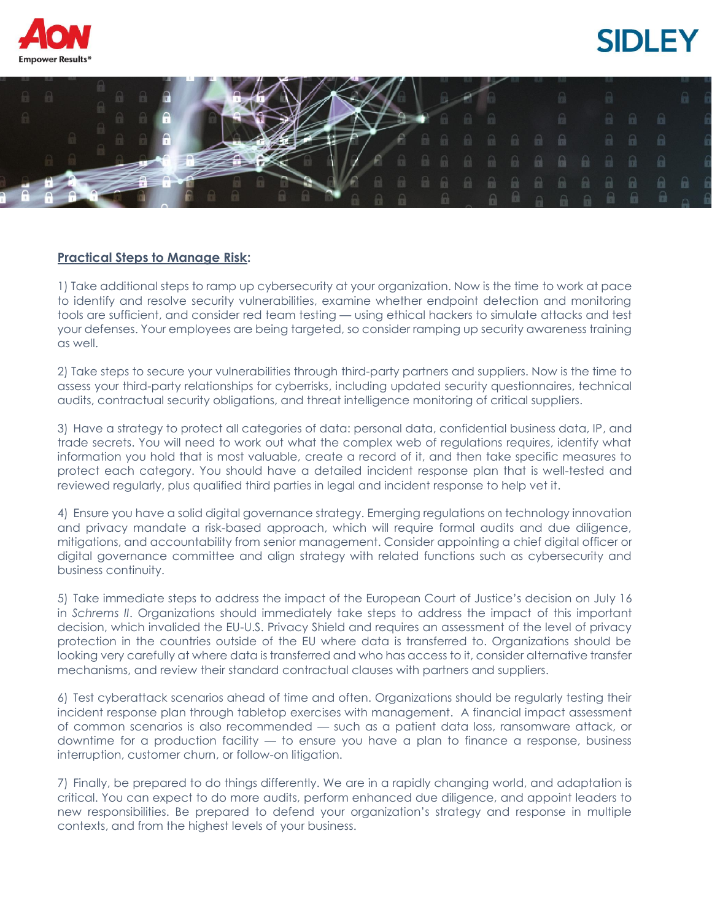





## **Practical Steps to Manage Risk:**

1) Take additional steps to ramp up cybersecurity at your organization. Now is the time to work at pace to identify and resolve security vulnerabilities, examine whether endpoint detection and monitoring tools are sufficient, and consider red team testing — using ethical hackers to simulate attacks and test your defenses. Your employees are being targeted, so consider ramping up security awareness training as well.

2) Take steps to secure your vulnerabilities through third-party partners and suppliers. Now is the time to assess your third-party relationships for cyberrisks, including updated security questionnaires, technical audits, contractual security obligations, and threat intelligence monitoring of critical suppliers.

3) Have a strategy to protect all categories of data: personal data, confidential business data, IP, and trade secrets. You will need to work out what the complex web of regulations requires, identify what information you hold that is most valuable, create a record of it, and then take specific measures to protect each category. You should have a detailed incident response plan that is well-tested and reviewed regularly, plus qualified third parties in legal and incident response to help vet it.

4) Ensure you have a solid digital governance strategy. Emerging regulations on technology innovation and privacy mandate a risk-based approach, which will require formal audits and due diligence, mitigations, and accountability from senior management. Consider appointing a chief digital officer or digital governance committee and align strategy with related functions such as cybersecurity and business continuity.

5) Take immediate steps to address the impact of the European Court of Justice's decision on July 16 in *Schrems II*. Organizations should immediately take steps to address the impact of this important decision, which invalided the EU-U.S. Privacy Shield and requires an assessment of the level of privacy protection in the countries outside of the EU where data is transferred to. Organizations should be looking very carefully at where data is transferred and who has access to it, consider alternative transfer mechanisms, and review their standard contractual clauses with partners and suppliers.

6) Test cyberattack scenarios ahead of time and often. Organizations should be regularly testing their incident response plan through tabletop exercises with management. A financial impact assessment of common scenarios is also recommended — such as a patient data loss, ransomware attack, or downtime for a production facility — to ensure you have a plan to finance a response, business interruption, customer churn, or follow-on litigation.

7) Finally, be prepared to do things differently. We are in a rapidly changing world, and adaptation is critical. You can expect to do more audits, perform enhanced due diligence, and appoint leaders to new responsibilities. Be prepared to defend your organization's strategy and response in multiple contexts, and from the highest levels of your business.